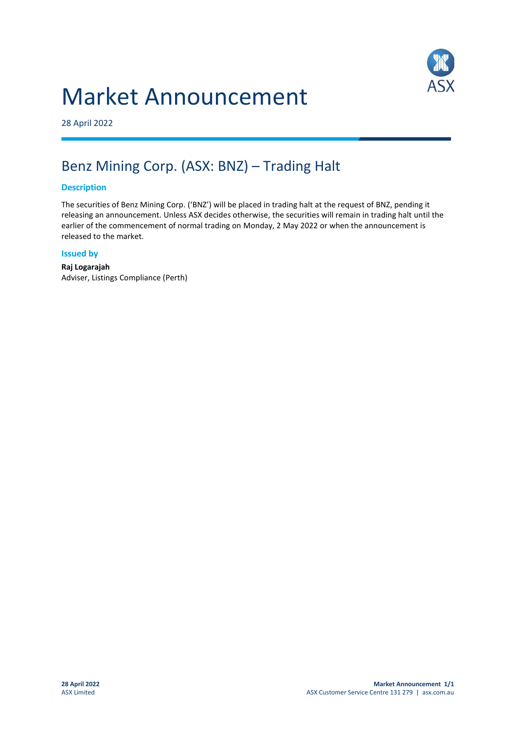# Market Announcement



28 April 2022

## Benz Mining Corp. (ASX: BNZ) – Trading Halt

### **Description**

The securities of Benz Mining Corp. ('BNZ') will be placed in trading halt at the request of BNZ, pending it releasing an announcement. Unless ASX decides otherwise, the securities will remain in trading halt until the earlier of the commencement of normal trading on Monday, 2 May 2022 or when the announcement is released to the market.

#### **Issued by**

**Raj Logarajah** Adviser, Listings Compliance (Perth)